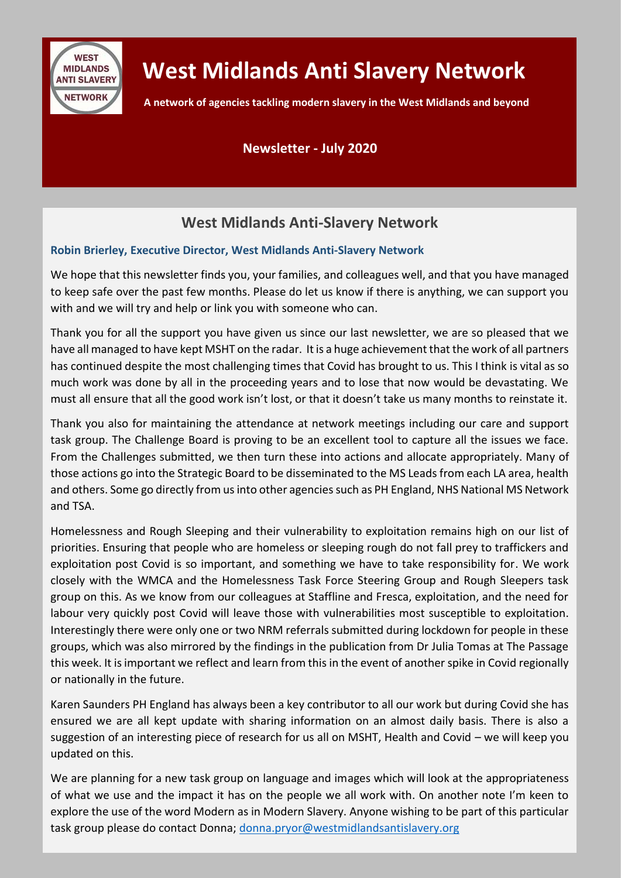

## **West Midlands Anti Slavery Network**

**A network of agencies tackling modern slavery in the West Midlands and beyond**

#### **Newsletter - July 2020**

## **West Midlands Anti-Slavery Network**

#### **Robin Brierley, Executive Director, West Midlands Anti-Slavery Network**

We hope that this newsletter finds you, your families, and colleagues well, and that you have managed to keep safe over the past few months. Please do let us know if there is anything, we can support you with and we will try and help or link you with someone who can.

Thank you for all the support you have given us since our last newsletter, we are so pleased that we have all managed to have kept MSHT on the radar. It is a huge achievement that the work of all partners has continued despite the most challenging times that Covid has brought to us. This I think is vital as so much work was done by all in the proceeding years and to lose that now would be devastating. We must all ensure that all the good work isn't lost, or that it doesn't take us many months to reinstate it.

Thank you also for maintaining the attendance at network meetings including our care and support task group. The Challenge Board is proving to be an excellent tool to capture all the issues we face. From the Challenges submitted, we then turn these into actions and allocate appropriately. Many of those actions go into the Strategic Board to be disseminated to the MS Leads from each LA area, health and others. Some go directly from us into other agencies such as PH England, NHS National MS Network and TSA.

Homelessness and Rough Sleeping and their vulnerability to exploitation remains high on our list of priorities. Ensuring that people who are homeless or sleeping rough do not fall prey to traffickers and exploitation post Covid is so important, and something we have to take responsibility for. We work closely with the WMCA and the Homelessness Task Force Steering Group and Rough Sleepers task group on this. As we know from our colleagues at Staffline and Fresca, exploitation, and the need for labour very quickly post Covid will leave those with vulnerabilities most susceptible to exploitation. Interestingly there were only one or two NRM referrals submitted during lockdown for people in these groups, which was also mirrored by the findings in the publication from Dr Julia Tomas at The Passage this week. It is important we reflect and learn from this in the event of another spike in Covid regionally or nationally in the future.

Karen Saunders PH England has always been a key contributor to all our work but during Covid she has ensured we are all kept update with sharing information on an almost daily basis. There is also a suggestion of an interesting piece of research for us all on MSHT, Health and Covid – we will keep you updated on this.

We are planning for a new task group on language and images which will look at the appropriateness of what we use and the impact it has on the people we all work with. On another note I'm keen to explore the use of the word Modern as in Modern Slavery. Anyone wishing to be part of this particular task group please do contact Donna; [donna.pryor@westmidlandsantislavery.org](mailto:donna.pryor@westmidlandsantislavery.org)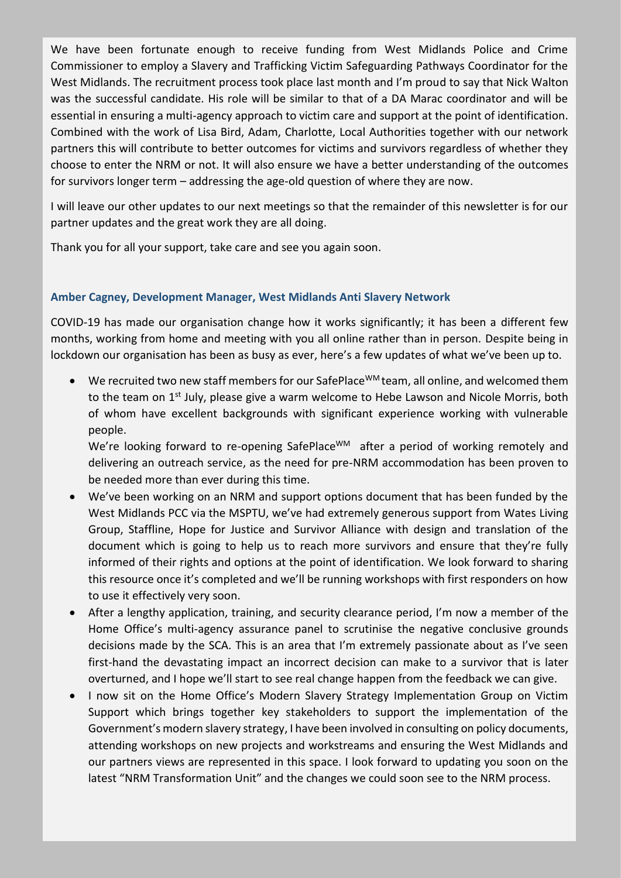We have been fortunate enough to receive funding from West Midlands Police and Crime Commissioner to employ a Slavery and Trafficking Victim Safeguarding Pathways Coordinator for the West Midlands. The recruitment process took place last month and I'm proud to say that Nick Walton was the successful candidate. His role will be similar to that of a DA Marac coordinator and will be essential in ensuring a multi-agency approach to victim care and support at the point of identification. Combined with the work of Lisa Bird, Adam, Charlotte, Local Authorities together with our network partners this will contribute to better outcomes for victims and survivors regardless of whether they choose to enter the NRM or not. It will also ensure we have a better understanding of the outcomes for survivors longer term – addressing the age-old question of where they are now.

I will leave our other updates to our next meetings so that the remainder of this newsletter is for our partner updates and the great work they are all doing.

Thank you for all your support, take care and see you again soon.

#### **Amber Cagney, Development Manager, West Midlands Anti Slavery Network**

COVID-19 has made our organisation change how it works significantly; it has been a different few months, working from home and meeting with you all online rather than in person. Despite being in lockdown our organisation has been as busy as ever, here's a few updates of what we've been up to.

• We recruited two new staff members for our SafePlace<sup>WM</sup> team, all online, and welcomed them to the team on 1<sup>st</sup> July, please give a warm welcome to Hebe Lawson and Nicole Morris, both of whom have excellent backgrounds with significant experience working with vulnerable people.

We're looking forward to re-opening SafePlace<sup>WM</sup> after a period of working remotely and delivering an outreach service, as the need for pre-NRM accommodation has been proven to be needed more than ever during this time.

- We've been working on an NRM and support options document that has been funded by the West Midlands PCC via the MSPTU, we've had extremely generous support from Wates Living Group, Staffline, Hope for Justice and Survivor Alliance with design and translation of the document which is going to help us to reach more survivors and ensure that they're fully informed of their rights and options at the point of identification. We look forward to sharing this resource once it's completed and we'll be running workshops with first responders on how to use it effectively very soon.
- After a lengthy application, training, and security clearance period, I'm now a member of the Home Office's multi-agency assurance panel to scrutinise the negative conclusive grounds decisions made by the SCA. This is an area that I'm extremely passionate about as I've seen first-hand the devastating impact an incorrect decision can make to a survivor that is later overturned, and I hope we'll start to see real change happen from the feedback we can give.
- I now sit on the Home Office's Modern Slavery Strategy Implementation Group on Victim Support which brings together key stakeholders to support the implementation of the Government's modern slavery strategy, I have been involved in consulting on policy documents, attending workshops on new projects and workstreams and ensuring the West Midlands and our partners views are represented in this space. I look forward to updating you soon on the latest "NRM Transformation Unit" and the changes we could soon see to the NRM process.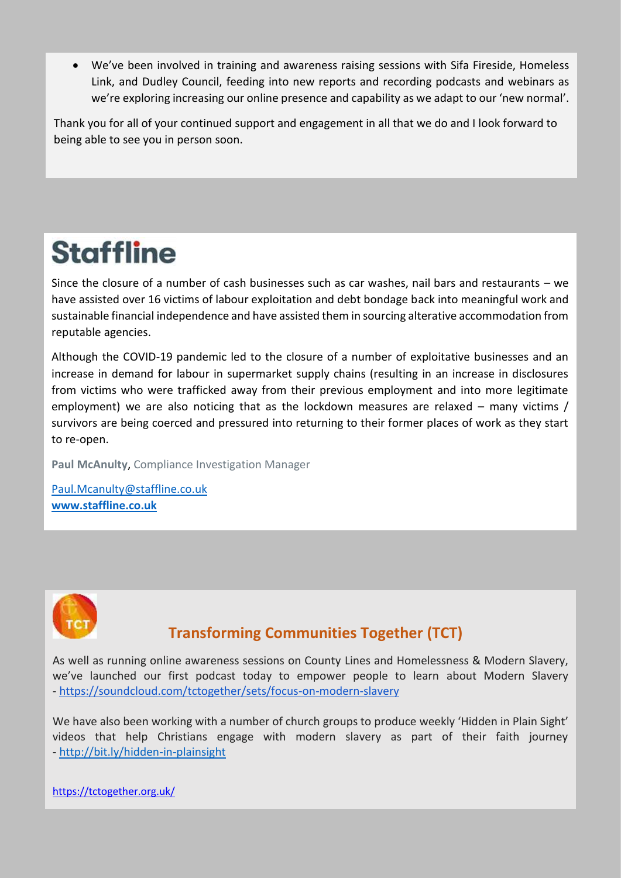• We've been involved in training and awareness raising sessions with Sifa Fireside, Homeless Link, and Dudley Council, feeding into new reports and recording podcasts and webinars as we're exploring increasing our online presence and capability as we adapt to our 'new normal'.

Thank you for all of your continued support and engagement in all that we do and I look forward to being able to see you in person soon.

# **Staffline**

Since the closure of a number of cash businesses such as car washes, nail bars and restaurants – we have assisted over 16 victims of labour exploitation and debt bondage back into meaningful work and sustainable financial independence and have assisted them in sourcing alterative accommodation from reputable agencies.

Although the COVID-19 pandemic led to the closure of a number of exploitative businesses and an increase in demand for labour in supermarket supply chains (resulting in an increase in disclosures from victims who were trafficked away from their previous employment and into more legitimate employment) we are also noticing that as the lockdown measures are relaxed – many victims / survivors are being coerced and pressured into returning to their former places of work as they start to re-open.

**Paul McAnulty**, Compliance Investigation Manager

[Paul.Mcanulty@staffline.co.uk](mailto:Paul.Mcanulty@staffline.co.uk) **[www.staffline.co.uk](http://www.staffline.co.uk/)**



## **Transforming Communities Together (TCT)**

As well as running online awareness sessions on County Lines and Homelessness & Modern Slavery, we've launched our first podcast today to empower people to learn about Modern Slavery - <https://soundcloud.com/tctogether/sets/focus-on-modern-slavery>

We have also been working with a number of church groups to produce weekly 'Hidden in Plain Sight' videos that help Christians engage with modern slavery as part of their faith journey - [http://bit.ly/hidden-in-plainsight](https://www.youtube.com/playlist?list=PLZ9t63sy_EeBgUy51s7Zf7pVkFl0suUfi)

<https://tctogether.org.uk/>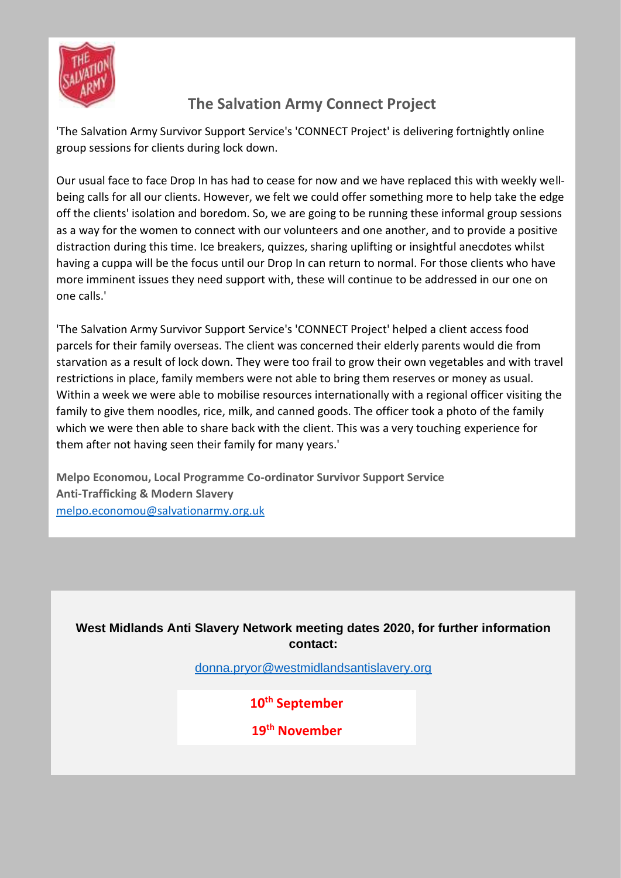

## **The Salvation Army Connect Project**

'The Salvation Army Survivor Support Service's 'CONNECT Project' is delivering fortnightly online group sessions for clients during lock down.

Our usual face to face Drop In has had to cease for now and we have replaced this with weekly wellbeing calls for all our clients. However, we felt we could offer something more to help take the edge off the clients' isolation and boredom. So, we are going to be running these informal group sessions as a way for the women to connect with our volunteers and one another, and to provide a positive distraction during this time. Ice breakers, quizzes, sharing uplifting or insightful anecdotes whilst having a cuppa will be the focus until our Drop In can return to normal. For those clients who have more imminent issues they need support with, these will continue to be addressed in our one on one calls.'

'The Salvation Army Survivor Support Service's 'CONNECT Project' helped a client access food parcels for their family overseas. The client was concerned their elderly parents would die from starvation as a result of lock down. They were too frail to grow their own vegetables and with travel restrictions in place, family members were not able to bring them reserves or money as usual. Within a week we were able to mobilise resources internationally with a regional officer visiting the family to give them noodles, rice, milk, and canned goods. The officer took a photo of the family which we were then able to share back with the client. This was a very touching experience for them after not having seen their family for many years.'

**Melpo Economou, Local Programme Co-ordinator Survivor Support Service Anti-Trafficking & Modern Slavery** [melpo.economou@salvationarmy.org.uk](mailto:melpo.economou@salvationarmy.org.uk)

**West Midlands Anti Slavery Network meeting dates 2020, for further information contact:**

[donna.pryor@westmidlandsantislavery.org](mailto:donna.pryor@westmidlandsantislavery.org)

**10th September**

**19th November**